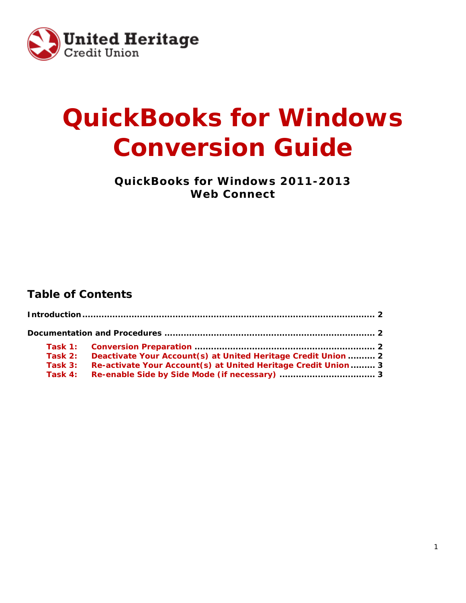

# **QuickBooks for Windows Conversion Guide**

**QuickBooks for Windows 2011-2013 Web Connect**

## **Table of Contents**

| Task $2:$ | Deactivate Your Account(s) at United Heritage Credit Union  2  |  |
|-----------|----------------------------------------------------------------|--|
| Task 3:   | Re-activate Your Account(s) at United Heritage Credit Union  3 |  |
| Task 4:   |                                                                |  |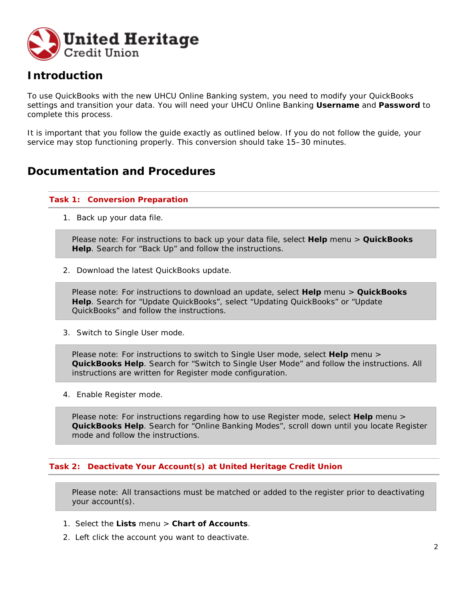

## **Introduction**

To use QuickBooks with the new UHCU Online Banking system, you need to modify your QuickBooks settings and transition your data. You will need your UHCU Online Banking **Username** and **Password** to complete this process.

It is important that you follow the guide exactly as outlined below. If you do not follow the guide, your service may stop functioning properly. This conversion should take 15–30 minutes.

## **Documentation and Procedures**

#### **Task 1: Conversion Preparation**

1. Back up your data file.

Please note: For instructions to back up your data file, select **Help** menu > **QuickBooks Help**. Search for "Back Up" and follow the instructions.

2. Download the latest QuickBooks update.

Please note: For instructions to download an update, select **Help** menu > **QuickBooks Help**. Search for "Update QuickBooks", select "Updating QuickBooks" or "Update QuickBooks" and follow the instructions.

3. Switch to Single User mode.

Please note: For instructions to switch to Single User mode, select **Help** menu > **QuickBooks Help**. Search for "Switch to Single User Mode" and follow the instructions. All instructions are written for Register mode configuration.

4. Enable Register mode.

Please note: For instructions regarding how to use Register mode, select **Help** menu > **QuickBooks Help**. Search for "Online Banking Modes", scroll down until you locate Register mode and follow the instructions.

### **Task 2: Deactivate Your Account(s) at United Heritage Credit Union**

Please note: All transactions must be matched or added to the register prior to deactivating your account(s).

- 1. Select the **Lists** menu > **Chart of Accounts**.
- 2. Left click the account you want to deactivate.